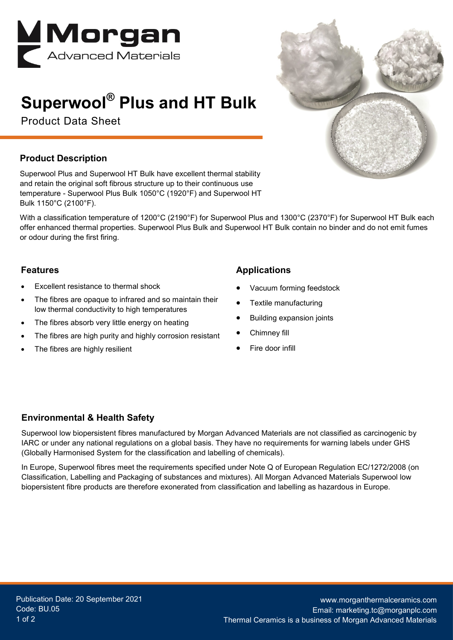

# **Superwool® Plus and HT Bulk**

Product Data Sheet

### **Product Description**

Superwool Plus and Superwool HT Bulk have excellent thermal stability and retain the original soft fibrous structure up to their continuous use temperature - Superwool Plus Bulk 1050°C (1920°F) and Superwool HT Bulk 1150°C (2100°F).

With a classification temperature of 1200°C (2190°F) for Superwool Plus and 1300°C (2370°F) for Superwool HT Bulk each offer enhanced thermal properties. Superwool Plus Bulk and Superwool HT Bulk contain no binder and do not emit fumes or odour during the first firing.

#### **Features**

- Excellent resistance to thermal shock
- The fibres are opaque to infrared and so maintain their low thermal conductivity to high temperatures
- The fibres absorb very little energy on heating
- The fibres are high purity and highly corrosion resistant
- The fibres are highly resilient

## **Applications**

- Vacuum forming feedstock
- Textile manufacturing
- Building expansion joints
- Chimney fill
- Fire door infill

#### **Environmental & Health Safety**

Superwool low biopersistent fibres manufactured by Morgan Advanced Materials are not classified as carcinogenic by IARC or under any national regulations on a global basis. They have no requirements for warning labels under GHS (Globally Harmonised System for the classification and labelling of chemicals).

In Europe, Superwool fibres meet the requirements specified under Note Q of European Regulation EC/1272/2008 (on Classification, Labelling and Packaging of substances and mixtures). All Morgan Advanced Materials Superwool low biopersistent fibre products are therefore exonerated from classification and labelling as hazardous in Europe.